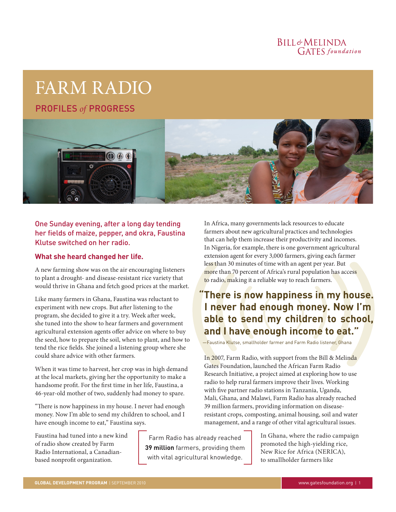## BILL&MELINDA **GATES** foundation

# FARM RADIO

PROFILES *of* PROGRESS



## One Sunday evening, after a long day tending her fields of maize, pepper, and okra, Faustina Klutse switched on her radio.

#### **What she heard changed her life.**

A new farming show was on the air encouraging listeners to plant a drought- and disease-resistant rice variety that would thrive in Ghana and fetch good prices at the market.

Like many farmers in Ghana, Faustina was reluctant to experiment with new crops. But after listening to the program, she decided to give it a try. Week after week, she tuned into the show to hear farmers and government agricultural extension agents offer advice on where to buy the seed, how to prepare the soil, when to plant, and how to tend the rice fields. She joined a listening group where she could share advice with other farmers.

When it was time to harvest, her crop was in high demand at the local markets, giving her the opportunity to make a handsome profit. For the first time in her life, Faustina, a 46-year-old mother of two, suddenly had money to spare.

"There is now happiness in my house. I never had enough money. Now I'm able to send my children to school, and I have enough income to eat," Faustina says.

Faustina had tuned into a new kind of radio show created by Farm Radio International, a Canadianbased nonprofit organization.

Farm Radio has already reached **39 million** farmers, providing them with vital agricultural knowledge.

In Africa, many governments lack resources to educate farmers about new agricultural practices and technologies that can help them increase their productivity and incomes. In Nigeria, for example, there is one government agricultural extension agent for every 3,000 farmers, giving each farmer less than 30 minutes of time with an agent per year. But more than 70 percent of Africa's rural population has access to radio, making it a reliable way to reach farmers.

# **"There is now happiness in my house. I never had enough money. Now I'm able to send my children to school, and I have enough income to eat."**

—Faustina Klutse, smallholder farmer and Farm Radio listener, Ghana

In 2007, Farm Radio, with support from the Bill & Melinda Gates Foundation, launched the African Farm Radio Research Initiative, a project aimed at exploring how to use radio to help rural farmers improve their lives. Working with five partner radio stations in Tanzania, Uganda, Mali, Ghana, and Malawi, Farm Radio has already reached 39 million farmers, providing information on diseaseresistant crops, composting, animal housing, soil and water management, and a range of other vital agricultural issues.

> In Ghana, where the radio campaign promoted the high-yielding rice, New Rice for Africa (NERICA), to smallholder farmers like